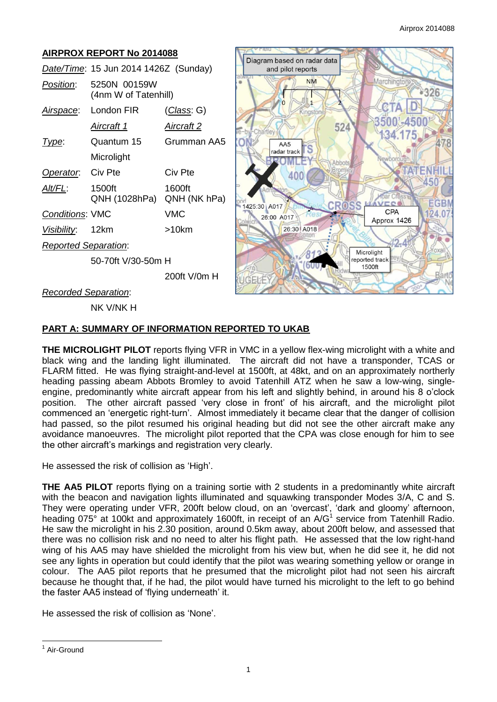#### **AIRPROX REPORT No 2014088** Diagram based on radar data *Date/Time*: 15 Jun 2014 1426Z (Sunday) and pilot reports **NM** Marchingto *Position*: 5250N 00159W 326 (4nm W of Tatenhill) *Airspace*: London FIR (*Class*: G) *Aircraft 1 Aircraft 2* 524 *Type*: Quantum 15 Grumman AA5 8  $AA5$ S radar track **Microlight** ATERNHI **Operator:** Civ Pte Civ Pte 400 450 *Alt/FL*: 1500ft 1600ft QNH (1028hPa) QNH (NK hPa) **EGBI CROSS** 1425:30 A017 *Conditions*: VMC VMC  $CPA$ 124.07 26:00 A017 Approx 1426 *Visibility*: 12km >10km 26:30 A018 *Reported Separation*: Microlight eported track 50-70ft V/30-50m H 1500ft 200ft V/0m H *Recorded Separation*:

NK V/NK H

# **PART A: SUMMARY OF INFORMATION REPORTED TO UKAB**

**THE MICROLIGHT PILOT** reports flying VFR in VMC in a yellow flex-wing microlight with a white and black wing and the landing light illuminated. The aircraft did not have a transponder, TCAS or FLARM fitted. He was flying straight-and-level at 1500ft, at 48kt, and on an approximately northerly heading passing abeam Abbots Bromley to avoid Tatenhill ATZ when he saw a low-wing, singleengine, predominantly white aircraft appear from his left and slightly behind, in around his 8 o'clock position. The other aircraft passed 'very close in front' of his aircraft, and the microlight pilot commenced an 'energetic right-turn'. Almost immediately it became clear that the danger of collision had passed, so the pilot resumed his original heading but did not see the other aircraft make any avoidance manoeuvres. The microlight pilot reported that the CPA was close enough for him to see the other aircraft's markings and registration very clearly.

He assessed the risk of collision as 'High'.

**THE AA5 PILOT** reports flying on a training sortie with 2 students in a predominantly white aircraft with the beacon and navigation lights illuminated and squawking transponder Modes 3/A, C and S. They were operating under VFR, 200ft below cloud, on an 'overcast', 'dark and gloomy' afternoon, heading 075° at 100kt and approximately 1600ft, in receipt of an A/G<sup>1</sup> service from Tatenhill Radio. He saw the microlight in his 2.30 position, around 0.5km away, about 200ft below, and assessed that there was no collision risk and no need to alter his flight path. He assessed that the low right-hand wing of his AA5 may have shielded the microlight from his view but, when he did see it, he did not see any lights in operation but could identify that the pilot was wearing something yellow or orange in colour. The AA5 pilot reports that he presumed that the microlight pilot had not seen his aircraft because he thought that, if he had, the pilot would have turned his microlight to the left to go behind the faster AA5 instead of 'flying underneath' it.

He assessed the risk of collision as 'None'.

 $\overline{a}$ <sup>1</sup> Air-Ground